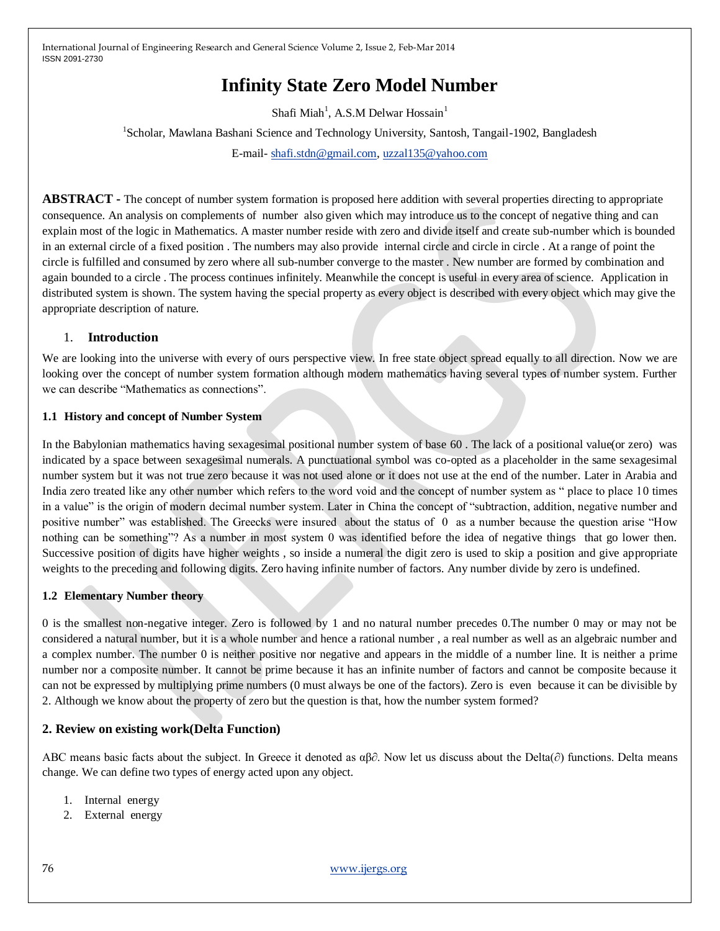# **Infinity State Zero Model Number**

Shafi Miah<sup>1</sup>, A.S.M Delwar Hossain<sup>1</sup>

<sup>1</sup>Scholar, Mawlana Bashani Science and Technology University, Santosh, Tangail-1902, Bangladesh E-mail- [shafi.stdn@gmail.com,](mailto:shafi.stdn@gmail.com) [uzzal135@yahoo.com](mailto:uzzal135@yahoo.com)

**ABSTRACT -** The concept of number system formation is proposed here addition with several properties directing to appropriate consequence. An analysis on complements of number also given which may introduce us to the concept of negative thing and can explain most of the logic in Mathematics. A master number reside with zero and divide itself and create sub-number which is bounded in an external circle of a fixed position . The numbers may also provide internal circle and circle in circle . At a range of point the circle is fulfilled and consumed by zero where all sub-number converge to the master . New number are formed by combination and again bounded to a circle . The process continues infinitely. Meanwhile the concept is useful in every area of science. Application in distributed system is shown. The system having the special property as every object is described with every object which may give the appropriate description of nature.

# 1. **Introduction**

We are looking into the universe with every of ours perspective view. In free state object spread equally to all direction. Now we are looking over the concept of number system formation although modern mathematics having several types of number system. Further we can describe "Mathematics as connections".

# **1.1 History and concept of Number System**

In the Babylonian mathematics having sexagesimal positional number system of base 60 . The lack of a positional value(or zero) was indicated by a space between sexagesimal numerals. A punctuational symbol was co-opted as a placeholder in the same sexagesimal number system but it was not true zero because it was not used alone or it does not use at the end of the number. Later in Arabia and India zero treated like any other number which refers to the word void and the concept of number system as " place to place 10 times in a value" is the origin of modern decimal number system. Later in China the concept of "subtraction, addition, negative number and positive number" was established. The Greecks were insured about the status of 0 as a number because the question arise "How nothing can be something"? As a number in most system 0 was identified before the idea of negative things that go lower then. Successive position of digits have higher weights , so inside a numeral the digit zero is used to skip a position and give appropriate weights to the preceding and following digits. Zero having infinite number of factors. Any number divide by zero is undefined.

# **1.2 Elementary Number theory**

0 is the smallest non-negative integer. Zero is followed by 1 and no natural number precedes 0.The number 0 may or may not be considered a natural number, but it is a whole number and hence a rational number , a real number as well as an algebraic number and a complex number. The number 0 is neither positive nor negative and appears in the middle of a number line. It is neither a prime number nor a composite number. It cannot be prime because it has an infinite number of factors and cannot be composite because it can not be expressed by multiplying prime numbers (0 must always be one of the factors). Zero is even because it can be divisible by 2. Although we know about the property of zero but the question is that, how the number system formed?

# **2. Review on existing work(Delta Function)**

ABC means basic facts about the subject. In Greece it denoted as  $\alpha\beta\partial$ . Now let us discuss about the Delta( $\partial$ ) functions. Delta means change. We can define two types of energy acted upon any object.

- 1. Internal energy
- 2. External energy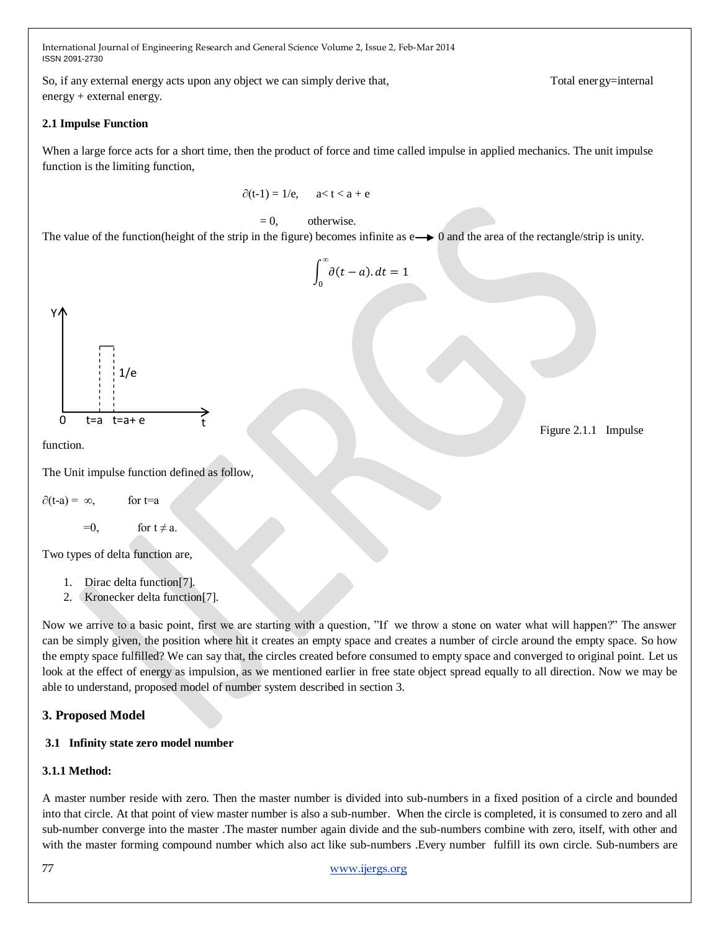So, if any external energy acts upon any object we can simply derive that, Total energy=internal energy + external energy.

### **2.1 Impulse Function**

When a large force acts for a short time, then the product of force and time called impulse in applied mechanics. The unit impulse function is the limiting function,

$$
\partial(t-1) = 1/e, \qquad a < t < a + e
$$

### $= 0$ , otherwise.

The value of the function(height of the strip in the figure) becomes infinite as  $e \rightarrow 0$  and the area of the rectangle/strip is unity.

 $\int$   $\partial (t-a) dx$ *∞* 0  $= 1$ 



function.

The Unit impulse function defined as follow,

 $\partial(t-a) = \infty$ , for t=a

 $=0$ , for  $t \neq a$ .

Two types of delta function are,

- 1. Dirac delta function[7].
- 2. Kronecker delta function[7].

Now we arrive to a basic point, first we are starting with a question, "If we throw a stone on water what will happen?" The answer can be simply given, the position where hit it creates an empty space and creates a number of circle around the empty space. So how the empty space fulfilled? We can say that, the circles created before consumed to empty space and converged to original point. Let us look at the effect of energy as impulsion, as we mentioned earlier in free state object spread equally to all direction. Now we may be able to understand, proposed model of number system described in section 3.

# **3. Proposed Model**

# **3.1 Infinity state zero model number**

#### **3.1.1 Method:**

A master number reside with zero. Then the master number is divided into sub-numbers in a fixed position of a circle and bounded into that circle. At that point of view master number is also a sub-number. When the circle is completed, it is consumed to zero and all sub-number converge into the master .The master number again divide and the sub-numbers combine with zero, itself, with other and with the master forming compound number which also act like sub-numbers .Every number fulfill its own circle. Sub-numbers are

Figure 2.1.1 Impulse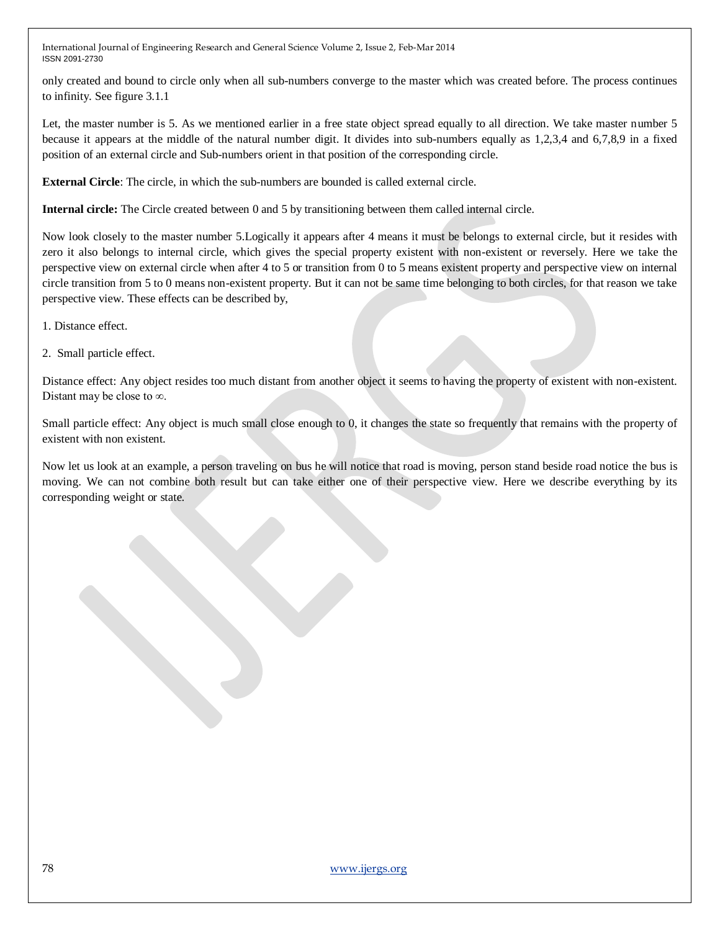only created and bound to circle only when all sub-numbers converge to the master which was created before. The process continues to infinity. See figure 3.1.1

Let, the master number is 5. As we mentioned earlier in a free state object spread equally to all direction. We take master number 5 because it appears at the middle of the natural number digit. It divides into sub-numbers equally as 1,2,3,4 and 6,7,8,9 in a fixed position of an external circle and Sub-numbers orient in that position of the corresponding circle.

**External Circle**: The circle, in which the sub-numbers are bounded is called external circle.

**Internal circle:** The Circle created between 0 and 5 by transitioning between them called internal circle.

Now look closely to the master number 5.Logically it appears after 4 means it must be belongs to external circle, but it resides with zero it also belongs to internal circle, which gives the special property existent with non-existent or reversely. Here we take the perspective view on external circle when after 4 to 5 or transition from 0 to 5 means existent property and perspective view on internal circle transition from 5 to 0 means non-existent property. But it can not be same time belonging to both circles, for that reason we take perspective view. These effects can be described by,

- 1. Distance effect.
- 2. Small particle effect.

Distance effect: Any object resides too much distant from another object it seems to having the property of existent with non-existent. Distant may be close to ∞.

Small particle effect: Any object is much small close enough to 0, it changes the state so frequently that remains with the property of existent with non existent.

Now let us look at an example, a person traveling on bus he will notice that road is moving, person stand beside road notice the bus is moving. We can not combine both result but can take either one of their perspective view. Here we describe everything by its corresponding weight or state.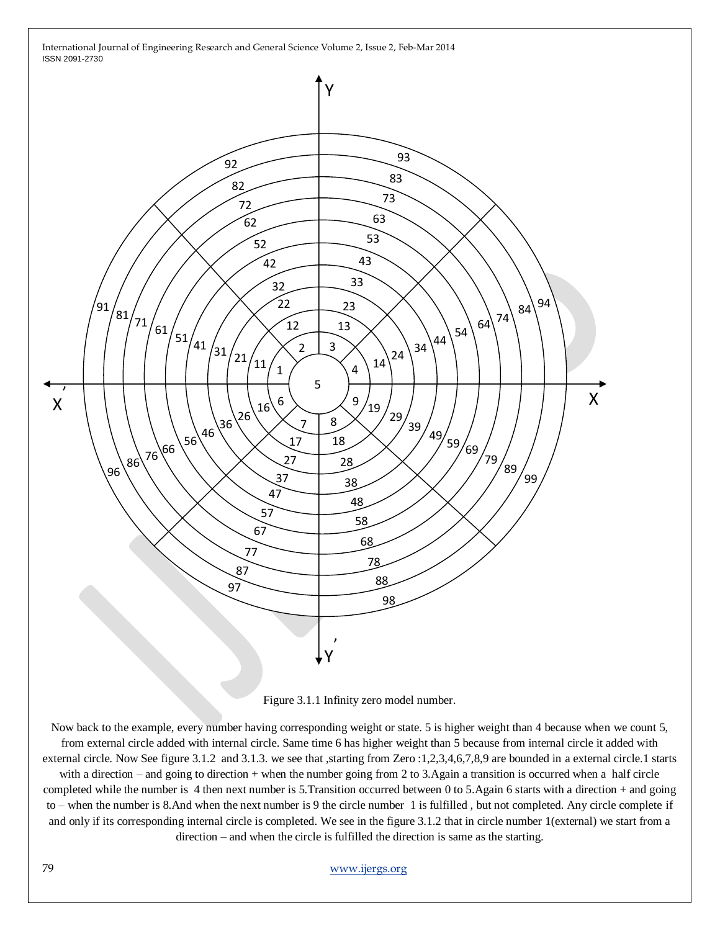

Figure 3.1.1 Infinity zero model number.

Now back to the example, every number having corresponding weight or state. 5 is higher weight than 4 because when we count 5, from external circle added with internal circle. Same time 6 has higher weight than 5 because from internal circle it added with external circle. Now See figure 3.1.2 and 3.1.3. we see that ,starting from Zero :1,2,3,4,6,7,8,9 are bounded in a external circle.1 starts with a direction – and going to direction + when the number going from 2 to 3.Again a transition is occurred when a half circle completed while the number is 4 then next number is 5.Transition occurred between 0 to 5.Again 6 starts with a direction + and going to – when the number is 8.And when the next number is 9 the circle number 1 is fulfilled , but not completed. Any circle complete if and only if its corresponding internal circle is completed. We see in the figure 3.1.2 that in circle number 1(external) we start from a direction – and when the circle is fulfilled the direction is same as the starting.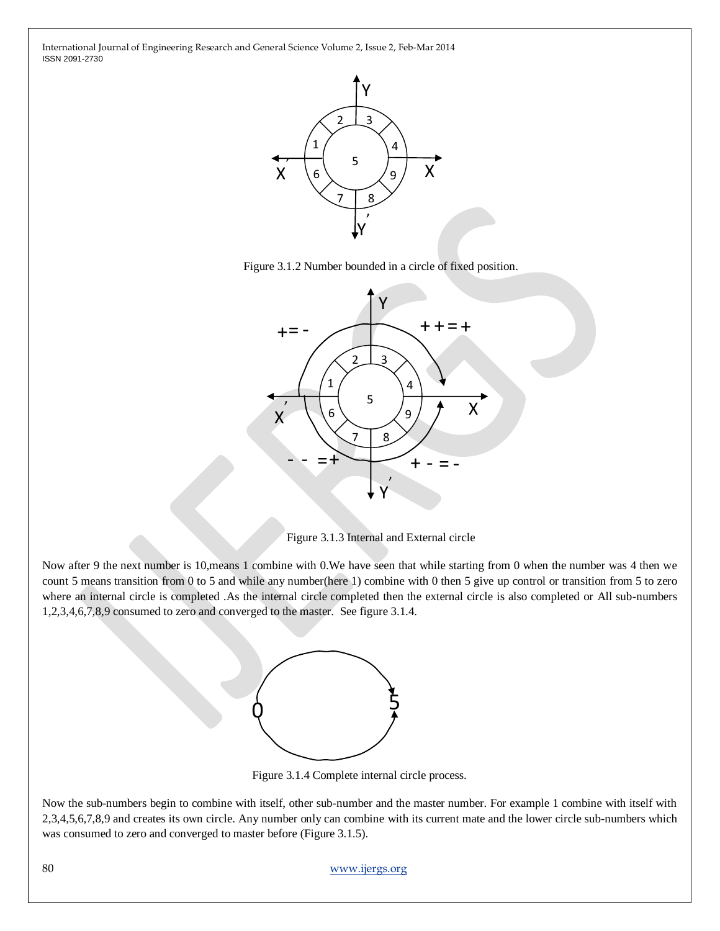





Figure 3.1.3 Internal and External circle

Now after 9 the next number is 10,means 1 combine with 0.We have seen that while starting from 0 when the number was 4 then we count 5 means transition from 0 to 5 and while any number(here 1) combine with 0 then 5 give up control or transition from 5 to zero where an internal circle is completed .As the internal circle completed then the external circle is also completed or All sub-numbers 1,2,3,4,6,7,8,9 consumed to zero and converged to the master. See figure 3.1.4.



Figure 3.1.4 Complete internal circle process.

Now the sub-numbers begin to combine with itself, other sub-number and the master number. For example 1 combine with itself with 2,3,4,5,6,7,8,9 and creates its own circle. Any number only can combine with its current mate and the lower circle sub-numbers which was consumed to zero and converged to master before (Figure 3.1.5).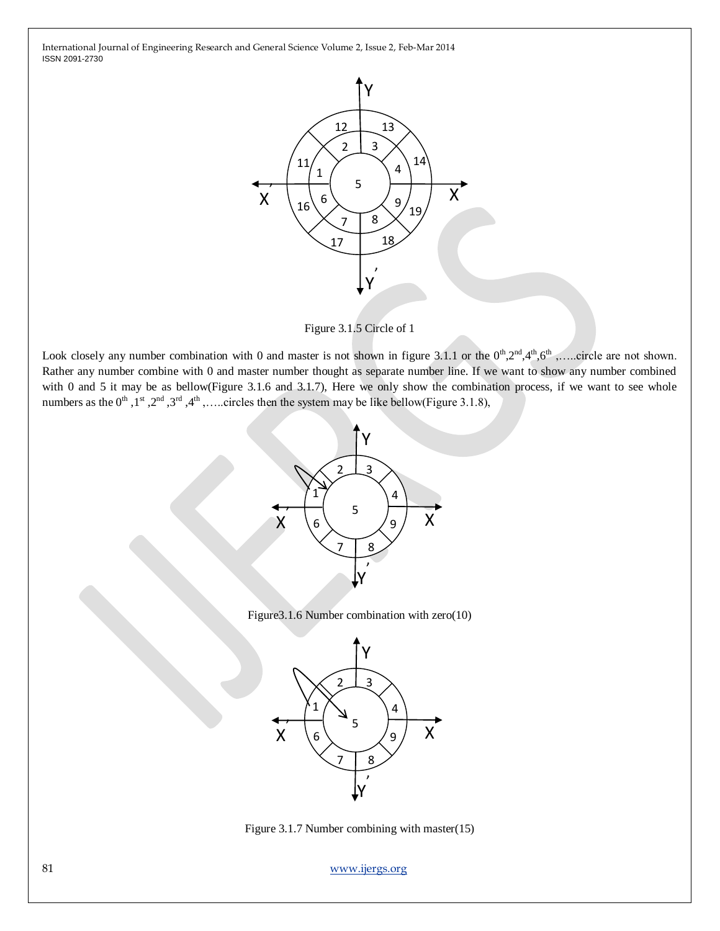

Figure 3.1.5 Circle of 1

Look closely any number combination with 0 and master is not shown in figure 3.1.1 or the  $0<sup>th</sup>,2<sup>nd</sup>,4<sup>th</sup>,6<sup>th</sup>$ ,....circle are not shown. Rather any number combine with 0 and master number thought as separate number line. If we want to show any number combined with 0 and 5 it may be as bellow(Figure 3.1.6 and 3.1.7), Here we only show the combination process, if we want to see whole numbers as the  $0^{\text{th}}$ ,  $1^{\text{st}}$ ,  $2^{\text{nd}}$ ,  $3^{\text{rd}}$ ,  $4^{\text{th}}$ , .....circles then the system may be like bellow(Figure 3.1.8),



Figure3.1.6 Number combination with zero(10)



Figure 3.1.7 Number combining with master(15)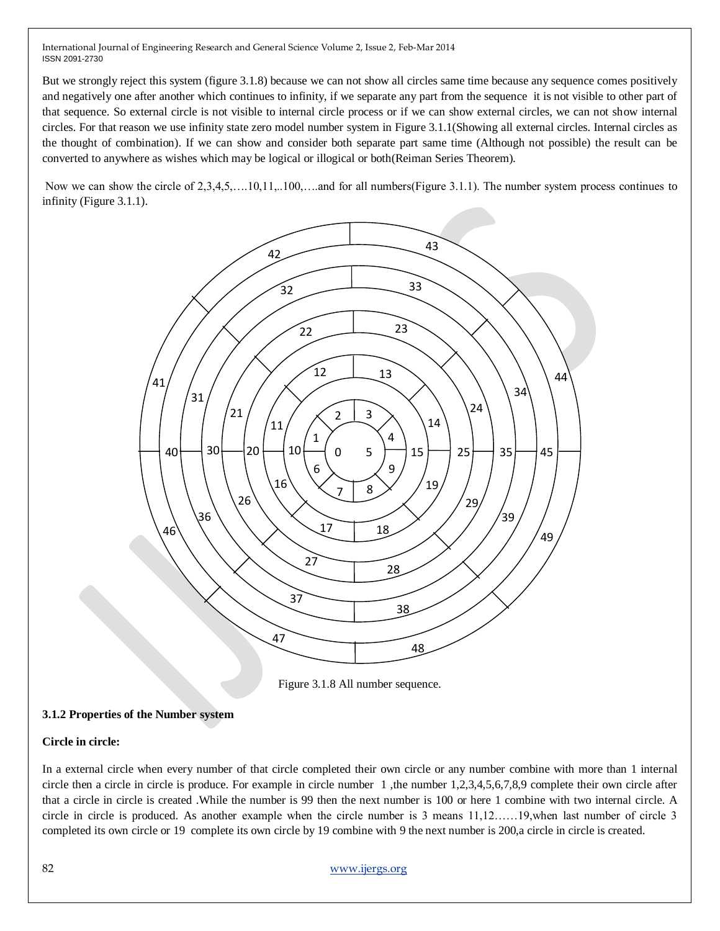But we strongly reject this system (figure 3.1.8) because we can not show all circles same time because any sequence comes positively and negatively one after another which continues to infinity, if we separate any part from the sequence it is not visible to other part of that sequence. So external circle is not visible to internal circle process or if we can show external circles, we can not show internal circles. For that reason we use infinity state zero model number system in Figure 3.1.1(Showing all external circles. Internal circles as the thought of combination). If we can show and consider both separate part same time (Although not possible) the result can be converted to anywhere as wishes which may be logical or illogical or both(Reiman Series Theorem).

Now we can show the circle of 2,3,4,5,….10,11,..100,….and for all numbers(Figure 3.1.1). The number system process continues to infinity (Figure 3.1.1).



Figure 3.1.8 All number sequence.

#### **3.1.2 Properties of the Number system**

#### **Circle in circle:**

In a external circle when every number of that circle completed their own circle or any number combine with more than 1 internal circle then a circle in circle is produce. For example in circle number 1 ,the number 1,2,3,4,5,6,7,8,9 complete their own circle after that a circle in circle is created .While the number is 99 then the next number is 100 or here 1 combine with two internal circle. A circle in circle is produced. As another example when the circle number is 3 means 11,12……19,when last number of circle 3 completed its own circle or 19 complete its own circle by 19 combine with 9 the next number is 200,a circle in circle is created.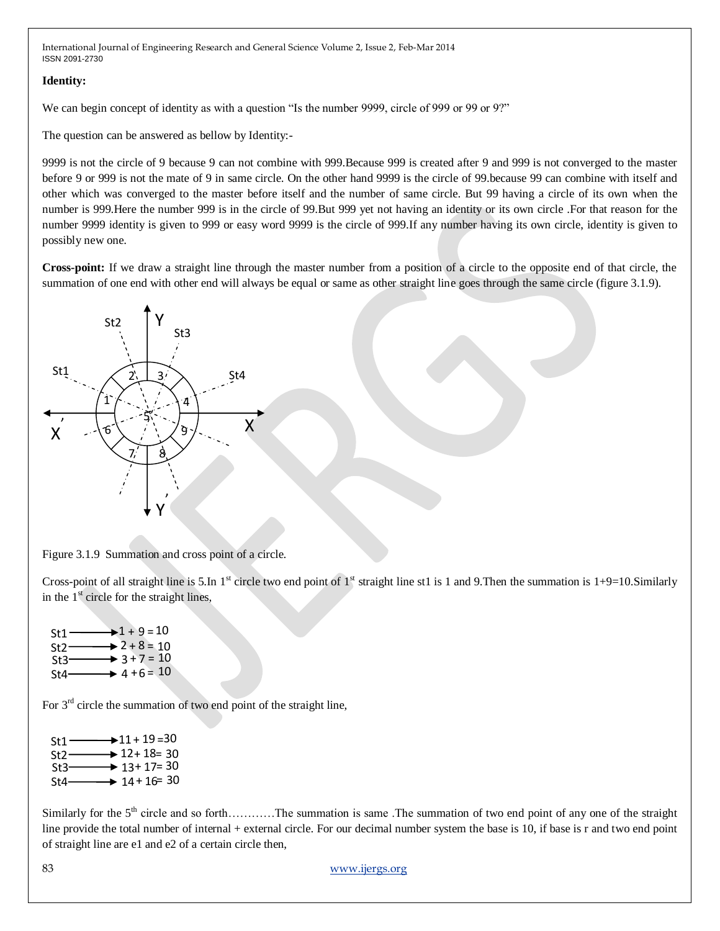#### **Identity:**

We can begin concept of identity as with a question "Is the number 9999, circle of 999 or 99 or 9?"

The question can be answered as bellow by Identity:-

9999 is not the circle of 9 because 9 can not combine with 999.Because 999 is created after 9 and 999 is not converged to the master before 9 or 999 is not the mate of 9 in same circle. On the other hand 9999 is the circle of 99.because 99 can combine with itself and other which was converged to the master before itself and the number of same circle. But 99 having a circle of its own when the number is 999.Here the number 999 is in the circle of 99.But 999 yet not having an identity or its own circle .For that reason for the number 9999 identity is given to 999 or easy word 9999 is the circle of 999.If any number having its own circle, identity is given to possibly new one.

**Cross-point:** If we draw a straight line through the master number from a position of a circle to the opposite end of that circle, the summation of one end with other end will always be equal or same as other straight line goes through the same circle (figure 3.1.9).



Figure 3.1.9 Summation and cross point of a circle.

Cross-point of all straight line is 5.In  $1^{\text{st}}$  circle two end point of  $1^{\text{st}}$  straight line st1 is 1 and 9.Then the summation is 1+9=10.Similarly in the  $1<sup>st</sup>$  circle for the straight lines,

 $St1 St2-$ St3  $St4 1 + 9 = 10$  $2 + 8 = 10$  $3 + 7 = 10$  $4 + 6 = 10$ 

For  $3<sup>rd</sup>$  circle the summation of two end point of the straight line,

| $St1 \longrightarrow 11 + 19 = 30$ |
|------------------------------------|
| $St2 \longrightarrow 12 + 18 = 30$ |
| $St3 \longrightarrow 13 + 17 = 30$ |
| St4 $\longrightarrow$ 14 + 16 = 30 |
|                                    |

Similarly for the  $5<sup>th</sup>$  circle and so forth…………The summation is same. The summation of two end point of any one of the straight line provide the total number of internal + external circle. For our decimal number system the base is 10, if base is r and two end point of straight line are e1 and e2 of a certain circle then,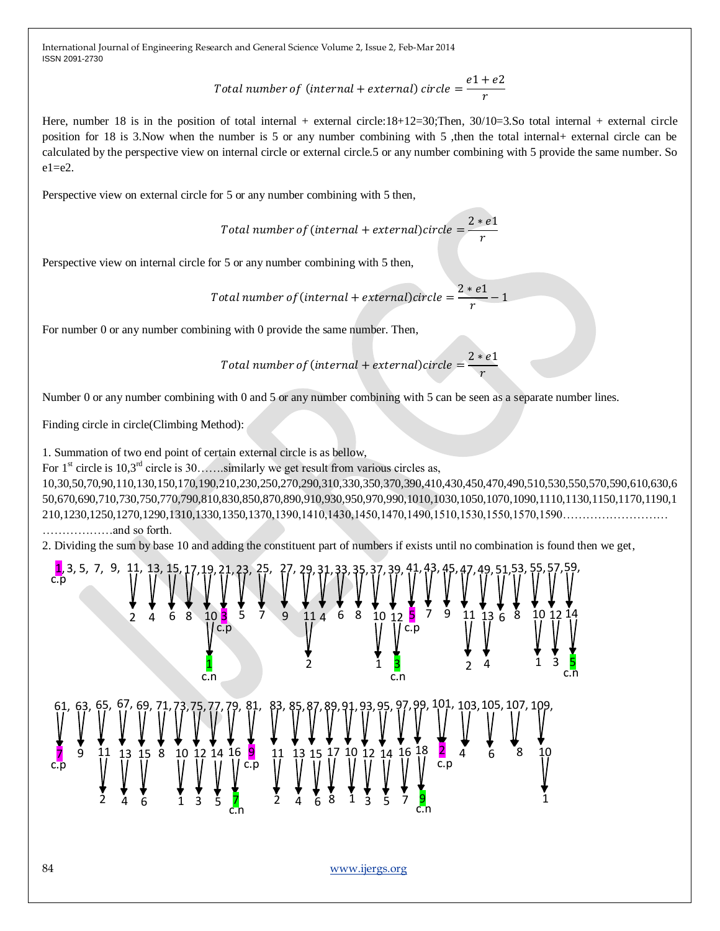> Total number of (internal + external) circle  $=\displaystyle\frac{e1+e2}{e}$ r

Here, number 18 is in the position of total internal + external circle:18+12=30;Then,  $30/10=3.$ So total internal + external circle position for 18 is 3.Now when the number is 5 or any number combining with 5 ,then the total internal+ external circle can be calculated by the perspective view on internal circle or external circle.5 or any number combining with 5 provide the same number. So  $e1= e2$ .

Perspective view on external circle for 5 or any number combining with 5 then,

Total number of (internal + external)circle  $=\frac{2*e1}$ r

Perspective view on internal circle for 5 or any number combining with 5 then,

Total number of (internal + external)circle  $=\frac{2*e1}{\pi}$  $\frac{1}{r}$  - 1

For number 0 or any number combining with 0 provide the same number. Then,

Total number of (internal + external)circle  $=\dfrac{2*e1}{\sqrt{2}}$ r

Number 0 or any number combining with 0 and 5 or any number combining with 5 can be seen as a separate number lines.

Finding circle in circle(Climbing Method):

1. Summation of two end point of certain external circle is as bellow,

For  $1<sup>st</sup>$  circle is  $10,3<sup>rd</sup>$  circle is  $30$ ......similarly we get result from various circles as,

10,30,50,70,90,110,130,150,170,190,210,230,250,270,290,310,330,350,370,390,410,430,450,470,490,510,530,550,570,590,610,630,6 50,670,690,710,730,750,770,790,810,830,850,870,890,910,930,950,970,990,1010,1030,1050,1070,1090,1110,1130,1150,1170,1190,1 210,1230,1250,1270,1290,1310,1330,1350,1370,1390,1410,1430,1450,1470,1490,1510,1530,1550,1570,1590……………………… ………………and so forth.

2. Dividing the sum by base 10 and adding the constituent part of numbers if exists until no combination is found then we get,

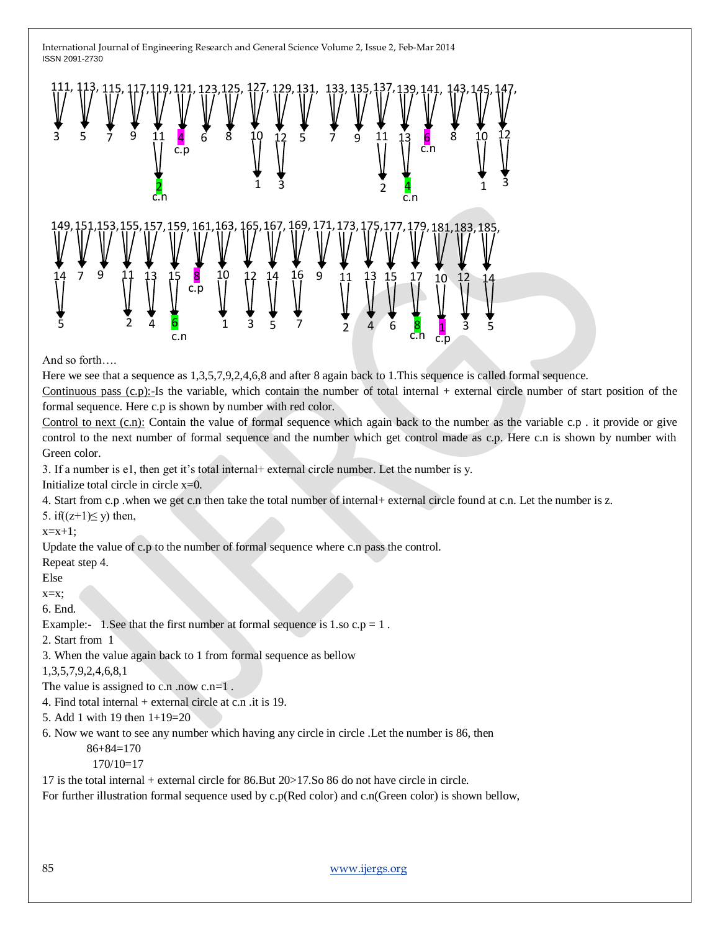

And so forth….

Here we see that a sequence as 1,3,5,7,9,2,4,6,8 and after 8 again back to 1.This sequence is called formal sequence.

Continuous pass  $(c, p)$ :-Is the variable, which contain the number of total internal + external circle number of start position of the formal sequence. Here c.p is shown by number with red color.

Control to next (c.n): Contain the value of formal sequence which again back to the number as the variable c.p . it provide or give control to the next number of formal sequence and the number which get control made as c.p. Here c.n is shown by number with Green color.

3. If a number is e1, then get it's total internal+ external circle number. Let the number is y.

Initialize total circle in circle  $x=0$ .

4. Start from c.p .when we get c.n then take the total number of internal+ external circle found at c.n. Let the number is z.

5. if( $(z+1) \le y$ ) then,

 $x=x+1$ ;

Update the value of c.p to the number of formal sequence where c.n pass the control.

Repeat step 4.

Else

 $x=x$ :

6. End.

Example:- 1. See that the first number at formal sequence is  $1$  so  $c.p = 1$ .

2. Start from 1

3. When the value again back to 1 from formal sequence as bellow

1,3,5,7,9,2,4,6,8,1

The value is assigned to c.n .now c.n=1.

4. Find total internal  $+$  external circle at c.n .it is 19.

5. Add 1 with 19 then 1+19=20

6. Now we want to see any number which having any circle in circle .Let the number is 86, then

86+84=170

170/10=17

17 is the total internal + external circle for 86.But 20>17.So 86 do not have circle in circle.

For further illustration formal sequence used by c.p(Red color) and c.n(Green color) is shown bellow,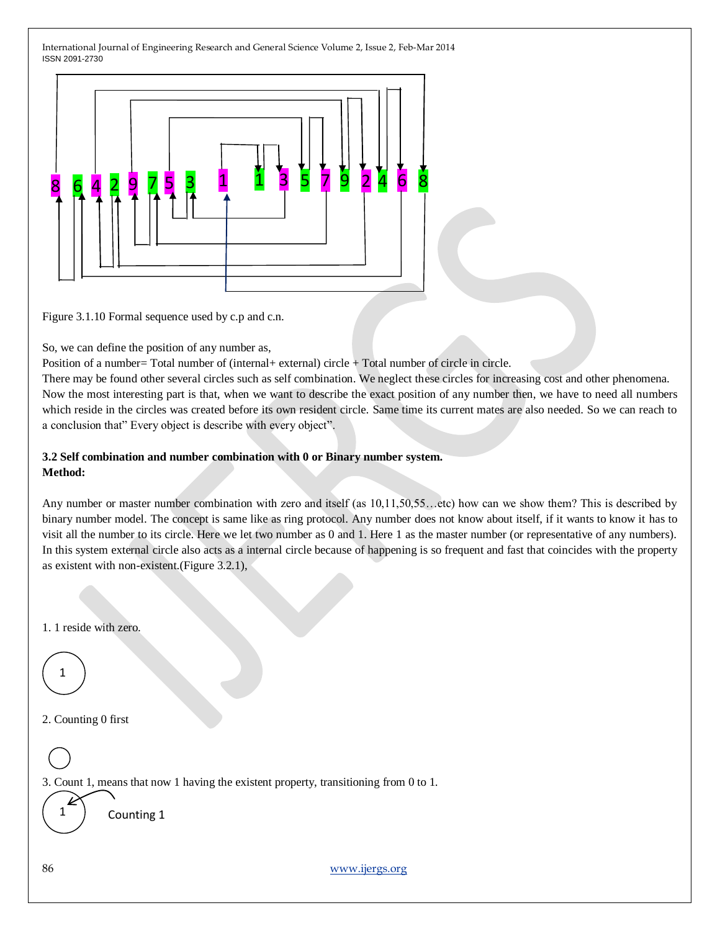

Figure 3.1.10 Formal sequence used by c.p and c.n.

So, we can define the position of any number as,

Position of a number= Total number of (internal+ external) circle + Total number of circle in circle.

There may be found other several circles such as self combination. We neglect these circles for increasing cost and other phenomena. Now the most interesting part is that, when we want to describe the exact position of any number then, we have to need all numbers which reside in the circles was created before its own resident circle. Same time its current mates are also needed. So we can reach to a conclusion that" Every object is describe with every object".

#### **3.2 Self combination and number combination with 0 or Binary number system. Method:**

Any number or master number combination with zero and itself (as 10,11,50,55...etc) how can we show them? This is described by binary number model. The concept is same like as ring protocol. Any number does not know about itself, if it wants to know it has to visit all the number to its circle. Here we let two number as 0 and 1. Here 1 as the master number (or representative of any numbers). In this system external circle also acts as a internal circle because of happening is so frequent and fast that coincides with the property as existent with non-existent.(Figure 3.2.1),

1. 1 reside with zero.

1

2. Counting 0 first

3. Count 1, means that now 1 having the existent property, transitioning from 0 to 1.

1

Counting 1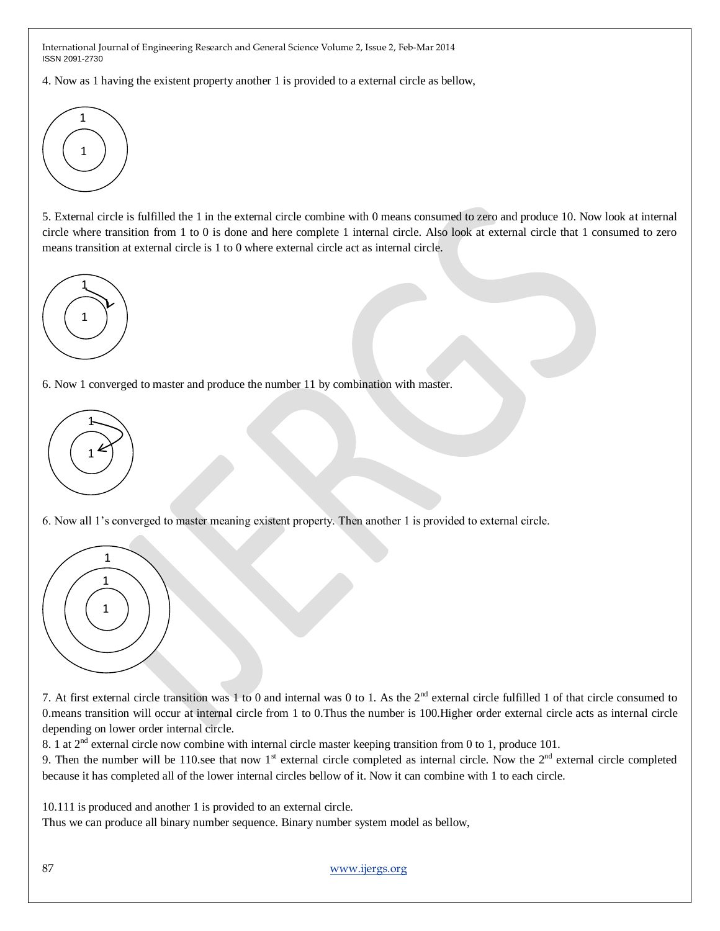4. Now as 1 having the existent property another 1 is provided to a external circle as bellow,



5. External circle is fulfilled the 1 in the external circle combine with 0 means consumed to zero and produce 10. Now look at internal circle where transition from 1 to 0 is done and here complete 1 internal circle. Also look at external circle that 1 consumed to zero means transition at external circle is 1 to 0 where external circle act as internal circle.



6. Now 1 converged to master and produce the number 11 by combination with master.



6. Now all 1's converged to master meaning existent property. Then another 1 is provided to external circle.



7. At first external circle transition was 1 to 0 and internal was 0 to 1. As the 2<sup>nd</sup> external circle fulfilled 1 of that circle consumed to 0.means transition will occur at internal circle from 1 to 0.Thus the number is 100.Higher order external circle acts as internal circle depending on lower order internal circle.

8. 1 at 2<sup>nd</sup> external circle now combine with internal circle master keeping transition from 0 to 1, produce 101.

9. Then the number will be 110, see that now  $1<sup>st</sup>$  external circle completed as internal circle. Now the  $2<sup>nd</sup>$  external circle completed because it has completed all of the lower internal circles bellow of it. Now it can combine with 1 to each circle.

10.111 is produced and another 1 is provided to an external circle.

Thus we can produce all binary number sequence. Binary number system model as bellow,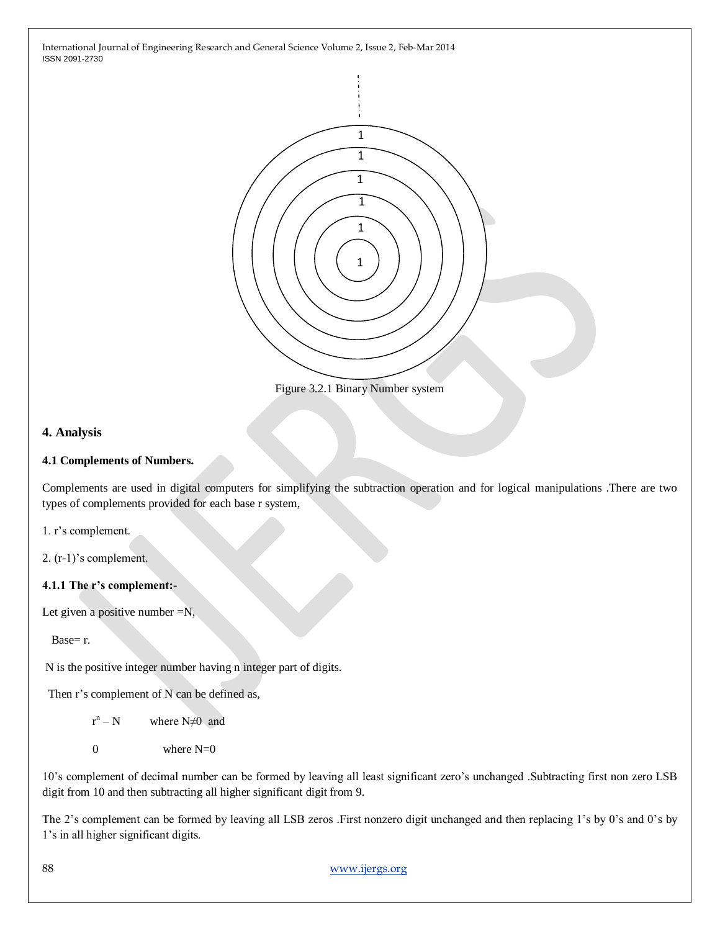

Figure 3.2.1 Binary Number system

### **4. Analysis**

#### **4.1 Complements of Numbers.**

Complements are used in digital computers for simplifying the subtraction operation and for logical manipulations .There are two types of complements provided for each base r system,

1. r's complement.

2. (r-1)'s complement.

#### **4.1.1 The r's complement:-**

Let given a positive number  $=N$ ,

Base= r.

N is the positive integer number having n integer part of digits.

Then r's complement of N can be defined as,

r and the state of the state of the state of the state of the state of the state of the state of the state of the state of the state of the state of the state of the state of the state of the state of the state of the stat  $r^n - N$ where  $N \neq 0$  and

0 where  $N=0$ 

10's complement of decimal number can be formed by leaving all least significant zero's unchanged .Subtracting first non zero LSB digit from 10 and then subtracting all higher significant digit from 9.

The 2's complement can be formed by leaving all LSB zeros .First nonzero digit unchanged and then replacing 1's by 0's and 0's by 1's in all higher significant digits.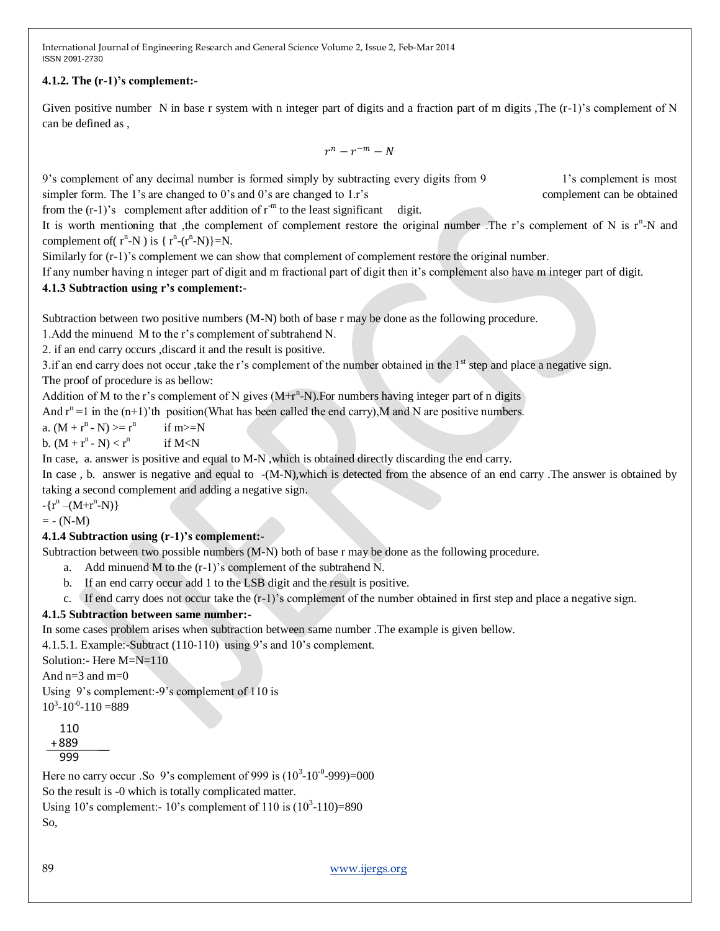# **4.1.2. The (r-1)'s complement:-**

Given positive number N in base r system with n integer part of digits and a fraction part of m digits ,The  $(r-1)$ 's complement of N can be defined as ,

 $r^n - r^{-m} - N$ 

9's complement of any decimal number is formed simply by subtracting every digits from 9 1's complement is most simpler form. The 1's are changed to 0's and 0's are changed to 1.r's complement can be obtained

from the  $(r-1)$ 's complement after addition of  $r<sup>-m</sup>$  to the least significant digit.

It is worth mentioning that , the complement of complement restore the original number. The r's complement of N is  $r<sup>n</sup>$ -N and complement of  $(r^n-N)$  is  $\{r^n-(r^n-N)\}=N$ .

Similarly for (r-1)'s complement we can show that complement of complement restore the original number.

If any number having n integer part of digit and m fractional part of digit then it's complement also have m integer part of digit.

# **4.1.3 Subtraction using r's complement:-**

Subtraction between two positive numbers (M-N) both of base r may be done as the following procedure.

1.Add the minuend M to the r's complement of subtrahend N.

2. if an end carry occurs ,discard it and the result is positive.

3. if an end carry does not occur, take the r's complement of the number obtained in the  $1<sup>st</sup>$  step and place a negative sign. The proof of procedure is as bellow:

Addition of M to the r's complement of N gives  $(M+r^n-N)$ . For numbers having integer part of n digits

And  $r^n = 1$  in the  $(n+1)$ 'th position(What has been called the end carry), M and N are positive numbers.

a.  $(M + r^n - N) \ge r^n$  if m $\ge N$ 

b.  $(M + r^n - N) < r^n$ if M<N

In case, a. answer is positive and equal to M-N ,which is obtained directly discarding the end carry.

In case, b. answer is negative and equal to  $-(M-N)$ , which is detected from the absence of an end carry . The answer is obtained by taking a second complement and adding a negative sign.

 $-\{r^n - (M + r^n - N)\}\}$ 

 $= - (N-M)$ 

#### **4.1.4 Subtraction using (r-1)'s complement:-**

Subtraction between two possible numbers (M-N) both of base r may be done as the following procedure.

- a. Add minuend M to the (r-1)'s complement of the subtrahend N.
- b. If an end carry occur add 1 to the LSB digit and the result is positive.
- c. If end carry does not occur take the  $(r-1)$ 's complement of the number obtained in first step and place a negative sign.

# **4.1.5 Subtraction between same number:-**

In some cases problem arises when subtraction between same number .The example is given bellow.

4.1.5.1. Example:-Subtract (110-110) using 9's and 10's complement.

Solution:- Here M=N=110

And  $n=3$  and  $m=0$ 

Using 9's complement:-9's complement of 110 is

 $10^3 - 10^{-0} - 110 = 889$ 

110 +889 999

Here no carry occur .So 9's complement of 999 is  $(10^3 \text{-} 10^{-0} \text{-} 999) = 000$ 

So the result is -0 which is totally complicated matter.

Using 10's complement:  $-10$ 's complement of 110 is  $(10^3 - 110) = 890$ 

So,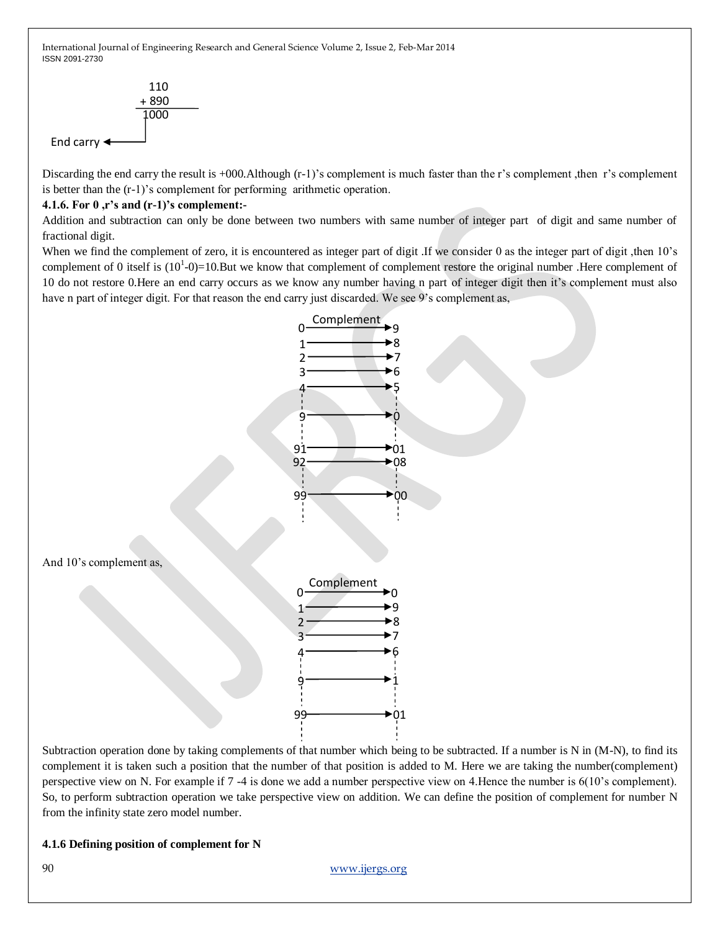

Discarding the end carry the result is +000.Although (r-1)'s complement is much faster than the r's complement ,then r's complement is better than the (r-1)'s complement for performing arithmetic operation.

### **4.1.6. For 0 ,r's and (r-1)'s complement:-**

Addition and subtraction can only be done between two numbers with same number of integer part of digit and same number of fractional digit.

When we find the complement of zero, it is encountered as integer part of digit. If we consider 0 as the integer part of digit , then 10's complement of 0 itself is  $(10^1-0)=10$ .But we know that complement of complement restore the original number. Here complement of 10 do not restore 0.Here an end carry occurs as we know any number having n part of integer digit then it's complement must also have n part of integer digit. For that reason the end carry just discarded. We see 9's complement as,



Subtraction operation done by taking complements of that number which being to be subtracted. If a number is N in (M-N), to find its complement it is taken such a position that the number of that position is added to M. Here we are taking the number(complement) perspective view on N. For example if 7 -4 is done we add a number perspective view on 4.Hence the number is 6(10's complement). So, to perform subtraction operation we take perspective view on addition. We can define the position of complement for number N from the infinity state zero model number.

#### **4.1.6 Defining position of complement for N**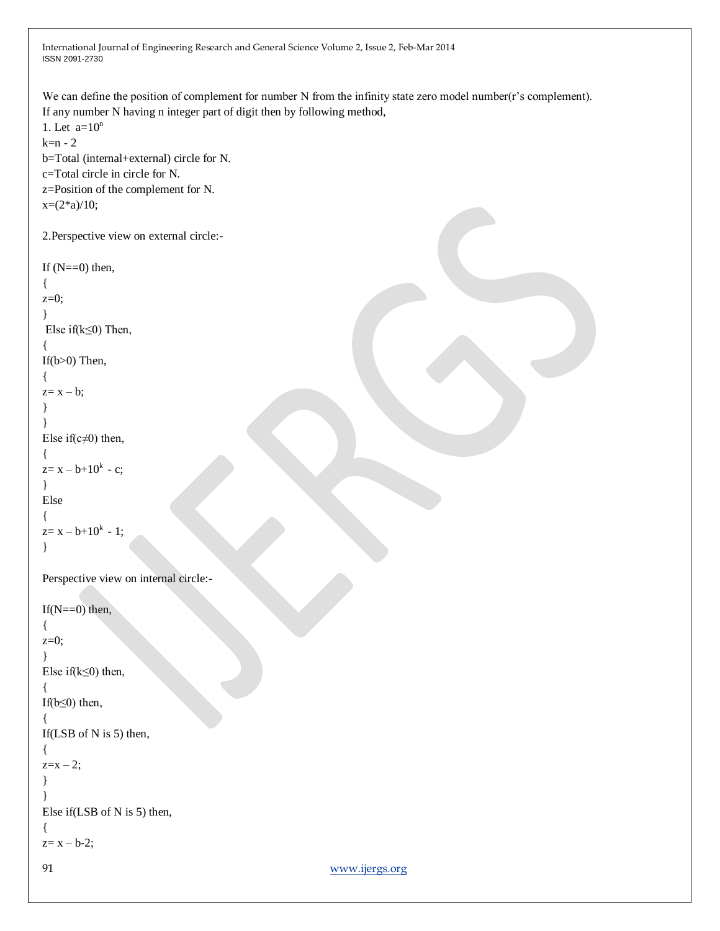International Journal of Engineering Research and General Science Volume 2, Issue 2, Feb-Mar 2014 ISSN 2091-2730 91 [www.ijergs.org](http://www.ijergs.org/) We can define the position of complement for number N from the infinity state zero model number(r's complement). If any number N having n integer part of digit then by following method, 1. Let  $a=10^n$  $k=n-2$ b=Total (internal+external) circle for N. c=Total circle in circle for N. z=Position of the complement for N.  $x=(2*a)/10;$ 2.Perspective view on external circle:- If  $(N=-0)$  then, {  $z=0$ ; } Else if(k≤0) Then, { If(b>0) Then, {  $z=x - b$ ; } } Else if( $c\neq 0$ ) then, {  $z=x-b+10^k - c;$ } Else {  $z=x-b+10^{k} - 1;$ } Perspective view on internal circle:- If  $(N=-0)$  then, { z=0; } Else if( $k \leq 0$ ) then, { If( $b \leq 0$ ) then, { If(LSB of N is 5) then, {  $z=x-2$ ; } } Else if(LSB of N is 5) then, {  $z=x - b-2$ ;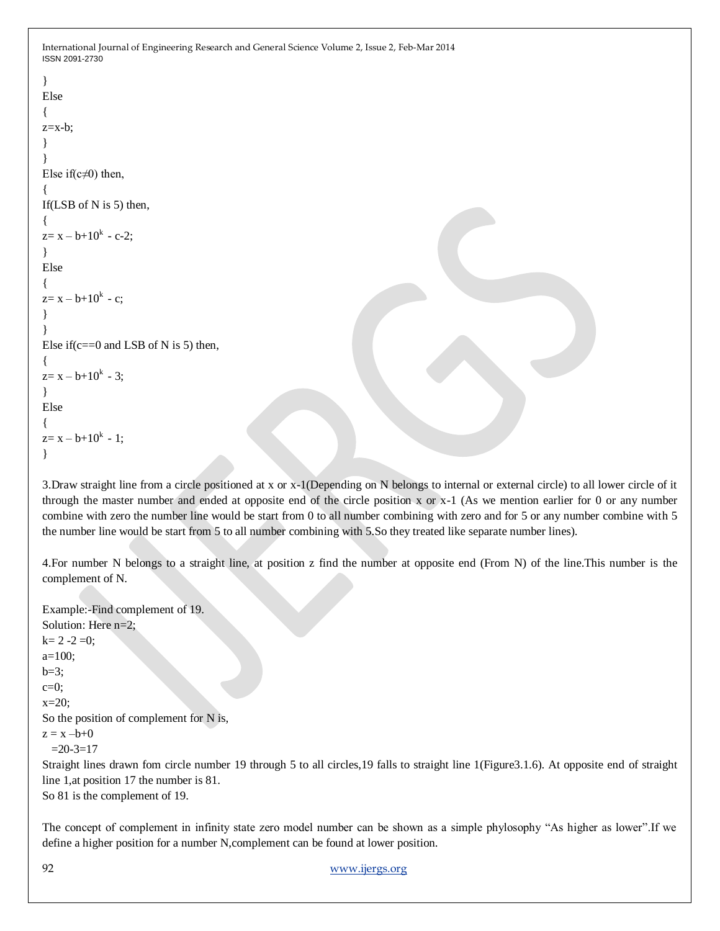```
}
Else
{
z=x-b;
}
}
Else if(c\neq 0) then,
{
If(LSB of N is 5) then,
{
z=x-b+10^{k} - c-2;}
Else
{
z=x-b+10^k - c;}
}
Else if (c == 0 and LSB of N is 5) then,
{
z=x-b+10^k - 3;}
Else
{
z=x-b+10^{k} - 1;}
```
3.Draw straight line from a circle positioned at x or x-1(Depending on N belongs to internal or external circle) to all lower circle of it through the master number and ended at opposite end of the circle position x or  $x-1$  (As we mention earlier for 0 or any number combine with zero the number line would be start from 0 to all number combining with zero and for 5 or any number combine with 5 the number line would be start from 5 to all number combining with 5.So they treated like separate number lines).

4.For number N belongs to a straight line, at position z find the number at opposite end (From N) of the line.This number is the complement of N.

```
Example:-Find complement of 19.
Solution: Here n=2;
k= 2 -2 =0;a=100;
b=3:
c=0:
x=20;
So the position of complement for N is,
z = x - b + 0=20-3=17Straight lines drawn fom circle number 19 through 5 to all circles,19 falls to straight line 1(Figure3.1.6). At opposite end of straight 
line 1,at position 17 the number is 81.
So 81 is the complement of 19.
```
The concept of complement in infinity state zero model number can be shown as a simple phylosophy "As higher as lower".If we define a higher position for a number N,complement can be found at lower position.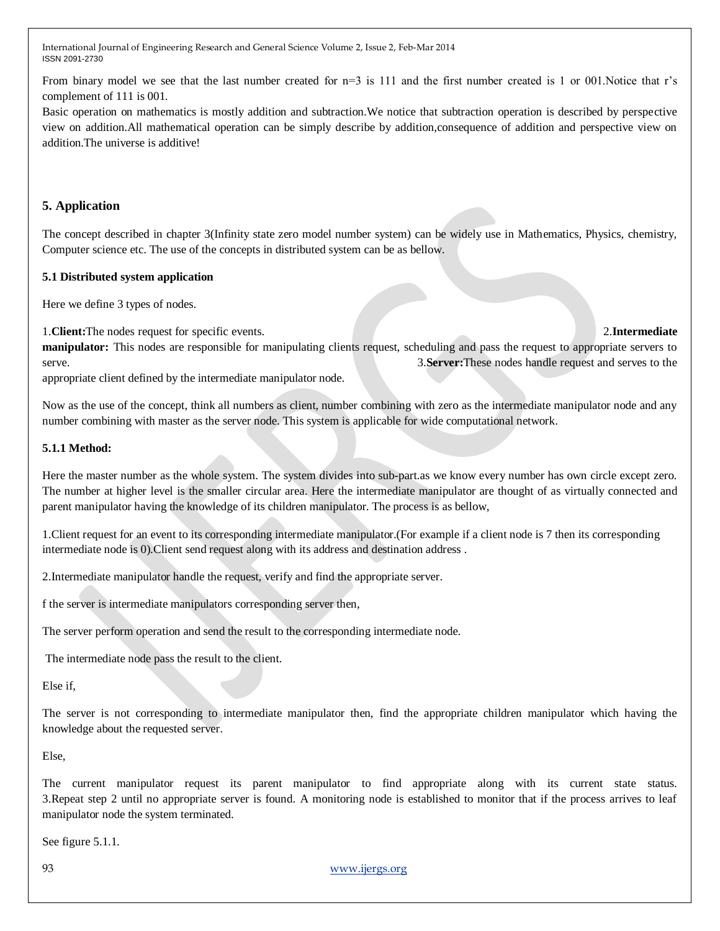From binary model we see that the last number created for  $n=3$  is 111 and the first number created is 1 or 001. Notice that r's complement of 111 is 001.

Basic operation on mathematics is mostly addition and subtraction.We notice that subtraction operation is described by perspective view on addition.All mathematical operation can be simply describe by addition,consequence of addition and perspective view on addition.The universe is additive!

# **5. Application**

The concept described in chapter 3(Infinity state zero model number system) can be widely use in Mathematics, Physics, chemistry, Computer science etc. The use of the concepts in distributed system can be as bellow.

### **5.1 Distributed system application**

Here we define 3 types of nodes.

1.**Client:**The nodes request for specific events. 2.**Intermediate** 

**manipulator:** This nodes are responsible for manipulating clients request, scheduling and pass the request to appropriate servers to serve. 3.**Server:**These nodes handle request and serves to the

appropriate client defined by the intermediate manipulator node.

Now as the use of the concept, think all numbers as client, number combining with zero as the intermediate manipulator node and any number combining with master as the server node. This system is applicable for wide computational network.

### **5.1.1 Method:**

Here the master number as the whole system. The system divides into sub-part.as we know every number has own circle except zero. The number at higher level is the smaller circular area. Here the intermediate manipulator are thought of as virtually connected and parent manipulator having the knowledge of its children manipulator. The process is as bellow,

1.Client request for an event to its corresponding intermediate manipulator.(For example if a client node is 7 then its corresponding intermediate node is 0).Client send request along with its address and destination address .

2.Intermediate manipulator handle the request, verify and find the appropriate server.

f the server is intermediate manipulators corresponding server then,

The server perform operation and send the result to the corresponding intermediate node.

The intermediate node pass the result to the client.

Else if,

The server is not corresponding to intermediate manipulator then, find the appropriate children manipulator which having the knowledge about the requested server.

Else,

The current manipulator request its parent manipulator to find appropriate along with its current state status. 3.Repeat step 2 until no appropriate server is found. A monitoring node is established to monitor that if the process arrives to leaf manipulator node the system terminated.

See figure 5.1.1.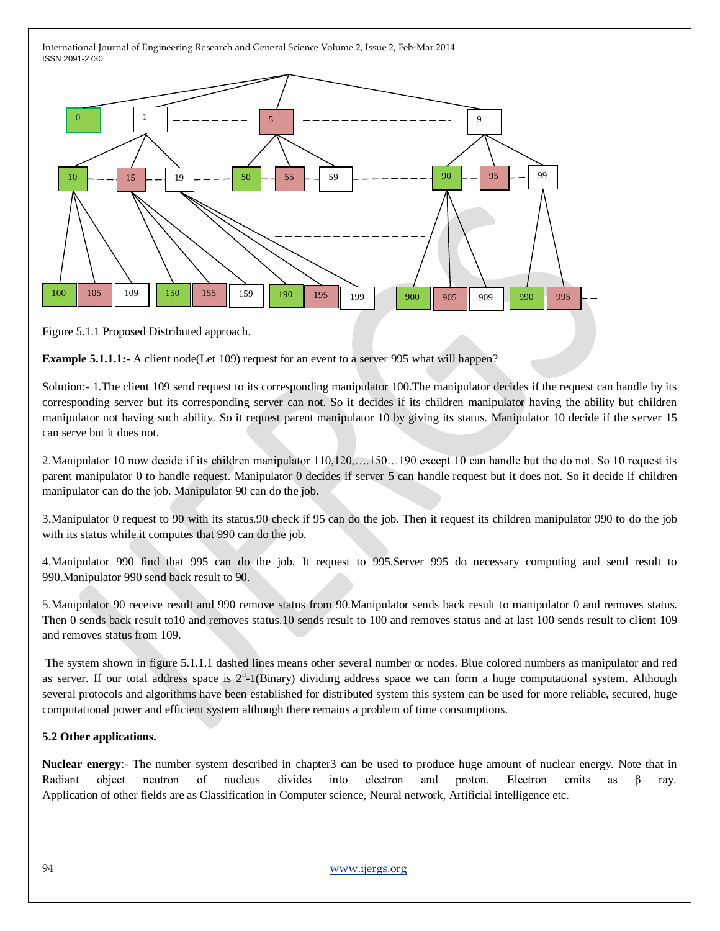

Figure 5.1.1 Proposed Distributed approach.

**Example 5.1.1.1:-** A client node (Let 109) request for an event to a server 995 what will happen?

Solution:- 1.The client 109 send request to its corresponding manipulator 100.The manipulator decides if the request can handle by its corresponding server but its corresponding server can not. So it decides if its children manipulator having the ability but children manipulator not having such ability. So it request parent manipulator 10 by giving its status. Manipulator 10 decide if the server 15 can serve but it does not.

2.Manipulator 10 now decide if its children manipulator 110,120,….150…190 except 10 can handle but the do not. So 10 request its parent manipulator 0 to handle request. Manipulator 0 decides if server 5 can handle request but it does not. So it decide if children manipulator can do the job. Manipulator 90 can do the job.

3.Manipulator 0 request to 90 with its status.90 check if 95 can do the job. Then it request its children manipulator 990 to do the job with its status while it computes that 990 can do the job.

4.Manipulator 990 find that 995 can do the job. It request to 995.Server 995 do necessary computing and send result to 990.Manipulator 990 send back result to 90.

5.Manipulator 90 receive result and 990 remove status from 90.Manipulator sends back result to manipulator 0 and removes status. Then 0 sends back result to10 and removes status.10 sends result to 100 and removes status and at last 100 sends result to client 109 and removes status from 109.

The system shown in figure 5.1.1.1 dashed lines means other several number or nodes. Blue colored numbers as manipulator and red as server. If our total address space is  $2<sup>n</sup>$ -1(Binary) dividing address space we can form a huge computational system. Although several protocols and algorithms have been established for distributed system this system can be used for more reliable, secured, huge computational power and efficient system although there remains a problem of time consumptions.

# **5.2 Other applications.**

**Nuclear energy**:- The number system described in chapter3 can be used to produce huge amount of nuclear energy. Note that in Radiant object neutron of nucleus divides into electron and proton. Electron emits as β ray. Application of other fields are as Classification in Computer science, Neural network, Artificial intelligence etc.